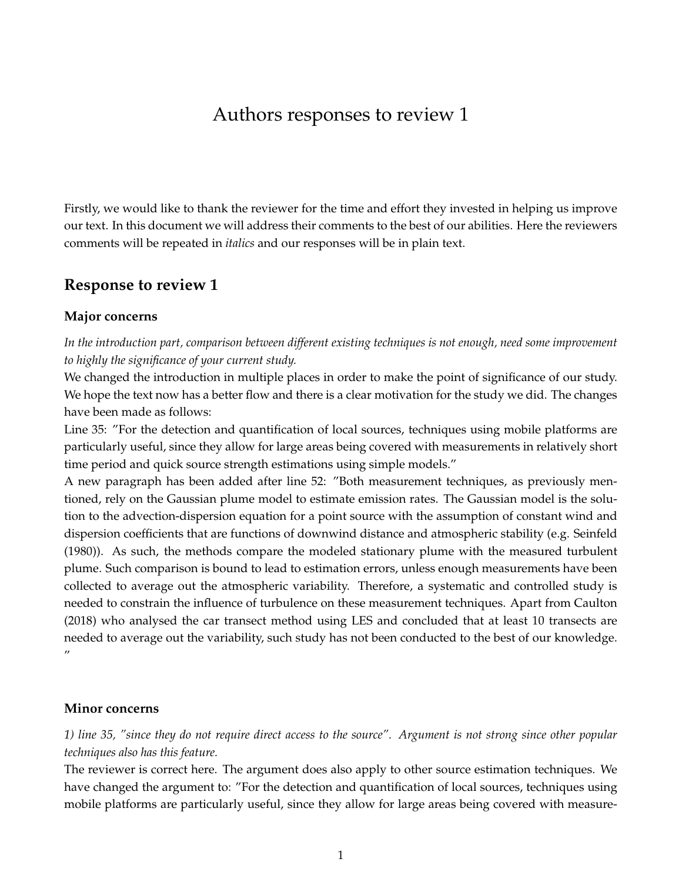# Authors responses to review 1

Firstly, we would like to thank the reviewer for the time and effort they invested in helping us improve our text. In this document we will address their comments to the best of our abilities. Here the reviewers comments will be repeated in *italics* and our responses will be in plain text.

# **Response to review 1**

#### **Major concerns**

*In the introduction part, comparison between different existing techniques is not enough, need some improvement to highly the significance of your current study.*

We changed the introduction in multiple places in order to make the point of significance of our study. We hope the text now has a better flow and there is a clear motivation for the study we did. The changes have been made as follows:

Line 35: "For the detection and quantification of local sources, techniques using mobile platforms are particularly useful, since they allow for large areas being covered with measurements in relatively short time period and quick source strength estimations using simple models."

A new paragraph has been added after line 52: "Both measurement techniques, as previously mentioned, rely on the Gaussian plume model to estimate emission rates. The Gaussian model is the solution to the advection-dispersion equation for a point source with the assumption of constant wind and dispersion coefficients that are functions of downwind distance and atmospheric stability (e.g. Seinfeld (1980)). As such, the methods compare the modeled stationary plume with the measured turbulent plume. Such comparison is bound to lead to estimation errors, unless enough measurements have been collected to average out the atmospheric variability. Therefore, a systematic and controlled study is needed to constrain the influence of turbulence on these measurement techniques. Apart from Caulton (2018) who analysed the car transect method using LES and concluded that at least 10 transects are needed to average out the variability, such study has not been conducted to the best of our knowledge. "

#### **Minor concerns**

*1) line 35, "since they do not require direct access to the source". Argument is not strong since other popular techniques also has this feature.*

The reviewer is correct here. The argument does also apply to other source estimation techniques. We have changed the argument to: "For the detection and quantification of local sources, techniques using mobile platforms are particularly useful, since they allow for large areas being covered with measure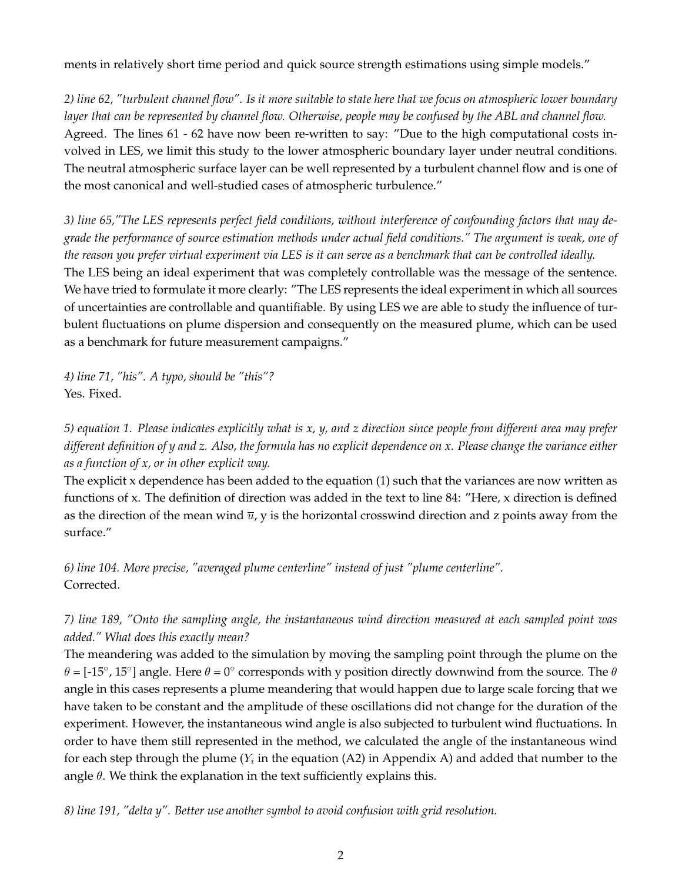ments in relatively short time period and quick source strength estimations using simple models."

*2) line 62, "turbulent channel flow". Is it more suitable to state here that we focus on atmospheric lower boundary layer that can be represented by channel flow. Otherwise, people may be confused by the ABL and channel flow.* Agreed. The lines 61 - 62 have now been re-written to say: "Due to the high computational costs involved in LES, we limit this study to the lower atmospheric boundary layer under neutral conditions. The neutral atmospheric surface layer can be well represented by a turbulent channel flow and is one of the most canonical and well-studied cases of atmospheric turbulence."

*3) line 65,"The LES represents perfect field conditions, without interference of confounding factors that may degrade the performance of source estimation methods under actual field conditions." The argument is weak, one of the reason you prefer virtual experiment via LES is it can serve as a benchmark that can be controlled ideally.* The LES being an ideal experiment that was completely controllable was the message of the sentence. We have tried to formulate it more clearly: "The LES represents the ideal experiment in which all sources of uncertainties are controllable and quantifiable. By using LES we are able to study the influence of turbulent fluctuations on plume dispersion and consequently on the measured plume, which can be used as a benchmark for future measurement campaigns."

*4) line 71, "his". A typo, should be "this"?* Yes. Fixed.

*5) equation 1. Please indicates explicitly what is x, y, and z direction since people from different area may prefer different definition of y and z. Also, the formula has no explicit dependence on x. Please change the variance either as a function of x, or in other explicit way.*

The explicit x dependence has been added to the equation (1) such that the variances are now written as functions of x. The definition of direction was added in the text to line 84: "Here, x direction is defined as the direction of the mean wind  $\overline{u}$ , y is the horizontal crosswind direction and z points away from the surface."

*6) line 104. More precise, "averaged plume centerline" instead of just "plume centerline".* Corrected.

# *7) line 189, "Onto the sampling angle, the instantaneous wind direction measured at each sampled point was added." What does this exactly mean?*

The meandering was added to the simulation by moving the sampling point through the plume on the  $\theta$  = [-15°, 15°] angle. Here  $\theta$  = 0° corresponds with y position directly downwind from the source. The  $\theta$ angle in this cases represents a plume meandering that would happen due to large scale forcing that we have taken to be constant and the amplitude of these oscillations did not change for the duration of the experiment. However, the instantaneous wind angle is also subjected to turbulent wind fluctuations. In order to have them still represented in the method, we calculated the angle of the instantaneous wind for each step through the plume ( $Y_i$  in the equation (A2) in Appendix A) and added that number to the angle  $\theta$ . We think the explanation in the text sufficiently explains this.

*8) line 191, "delta y". Better use another symbol to avoid confusion with grid resolution.*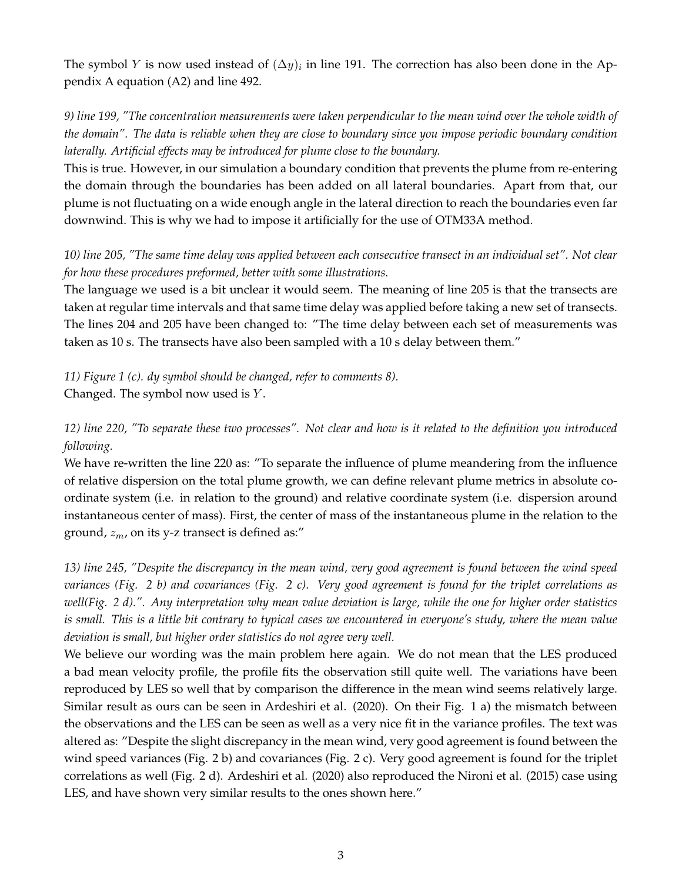The symbol Y is now used instead of  $(\Delta y)_i$  in line 191. The correction has also been done in the Appendix A equation (A2) and line 492.

*9) line 199, "The concentration measurements were taken perpendicular to the mean wind over the whole width of the domain". The data is reliable when they are close to boundary since you impose periodic boundary condition laterally. Artificial effects may be introduced for plume close to the boundary.*

This is true. However, in our simulation a boundary condition that prevents the plume from re-entering the domain through the boundaries has been added on all lateral boundaries. Apart from that, our plume is not fluctuating on a wide enough angle in the lateral direction to reach the boundaries even far downwind. This is why we had to impose it artificially for the use of OTM33A method.

# *10) line 205, "The same time delay was applied between each consecutive transect in an individual set". Not clear for how these procedures preformed, better with some illustrations.*

The language we used is a bit unclear it would seem. The meaning of line 205 is that the transects are taken at regular time intervals and that same time delay was applied before taking a new set of transects. The lines 204 and 205 have been changed to: "The time delay between each set of measurements was taken as 10 s. The transects have also been sampled with a 10 s delay between them."

*11) Figure 1 (c). dy symbol should be changed, refer to comments 8).*

Changed. The symbol now used is  $Y$ .

*12) line 220, "To separate these two processes". Not clear and how is it related to the definition you introduced following.*

We have re-written the line 220 as: "To separate the influence of plume meandering from the influence of relative dispersion on the total plume growth, we can define relevant plume metrics in absolute coordinate system (i.e. in relation to the ground) and relative coordinate system (i.e. dispersion around instantaneous center of mass). First, the center of mass of the instantaneous plume in the relation to the ground,  $z_m$ , on its y-z transect is defined as:"

*13) line 245, "Despite the discrepancy in the mean wind, very good agreement is found between the wind speed variances (Fig. 2 b) and covariances (Fig. 2 c). Very good agreement is found for the triplet correlations as well(Fig. 2 d).". Any interpretation why mean value deviation is large, while the one for higher order statistics is small. This is a little bit contrary to typical cases we encountered in everyone's study, where the mean value deviation is small, but higher order statistics do not agree very well.*

We believe our wording was the main problem here again. We do not mean that the LES produced a bad mean velocity profile, the profile fits the observation still quite well. The variations have been reproduced by LES so well that by comparison the difference in the mean wind seems relatively large. Similar result as ours can be seen in Ardeshiri et al. (2020). On their Fig. 1 a) the mismatch between the observations and the LES can be seen as well as a very nice fit in the variance profiles. The text was altered as: "Despite the slight discrepancy in the mean wind, very good agreement is found between the wind speed variances (Fig. 2 b) and covariances (Fig. 2 c). Very good agreement is found for the triplet correlations as well (Fig. 2 d). Ardeshiri et al. (2020) also reproduced the Nironi et al. (2015) case using LES, and have shown very similar results to the ones shown here."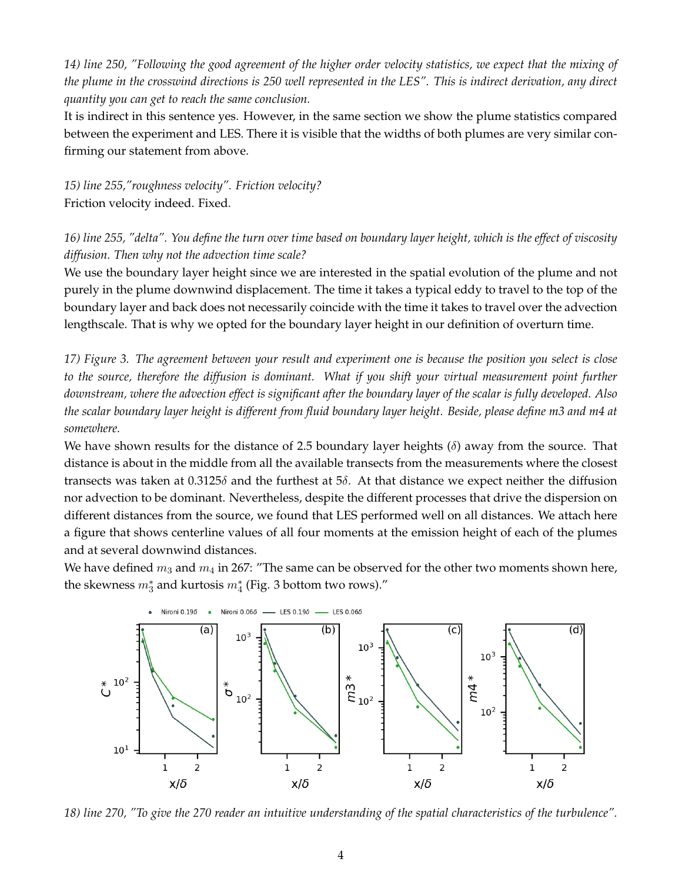*14) line 250, "Following the good agreement of the higher order velocity statistics, we expect that the mixing of the plume in the crosswind directions is 250 well represented in the LES". This is indirect derivation, any direct quantity you can get to reach the same conclusion.*

It is indirect in this sentence yes. However, in the same section we show the plume statistics compared between the experiment and LES. There it is visible that the widths of both plumes are very similar confirming our statement from above.

*15) line 255,"roughness velocity". Friction velocity?* Friction velocity indeed. Fixed.

*16) line 255, "delta". You define the turn over time based on boundary layer height, which is the effect of viscosity diffusion. Then why not the advection time scale?*

We use the boundary layer height since we are interested in the spatial evolution of the plume and not purely in the plume downwind displacement. The time it takes a typical eddy to travel to the top of the boundary layer and back does not necessarily coincide with the time it takes to travel over the advection lengthscale. That is why we opted for the boundary layer height in our definition of overturn time.

*17) Figure 3. The agreement between your result and experiment one is because the position you select is close to the source, therefore the diffusion is dominant. What if you shift your virtual measurement point further downstream, where the advection effect is significant after the boundary layer of the scalar is fully developed. Also the scalar boundary layer height is different from fluid boundary layer height. Beside, please define m3 and m4 at somewhere.*

We have shown results for the distance of 2.5 boundary layer heights  $(\delta)$  away from the source. That distance is about in the middle from all the available transects from the measurements where the closest transects was taken at 0.3125 $\delta$  and the furthest at 5 $\delta$ . At that distance we expect neither the diffusion nor advection to be dominant. Nevertheless, despite the different processes that drive the dispersion on different distances from the source, we found that LES performed well on all distances. We attach here a figure that shows centerline values of all four moments at the emission height of each of the plumes and at several downwind distances.

We have defined  $m_3$  and  $m_4$  in 267: "The same can be observed for the other two moments shown here, the skewness  $m_3^*$  and kurtosis  $m_4^*$  (Fig. 3 bottom two rows)."



*18) line 270, "To give the 270 reader an intuitive understanding of the spatial characteristics of the turbulence".*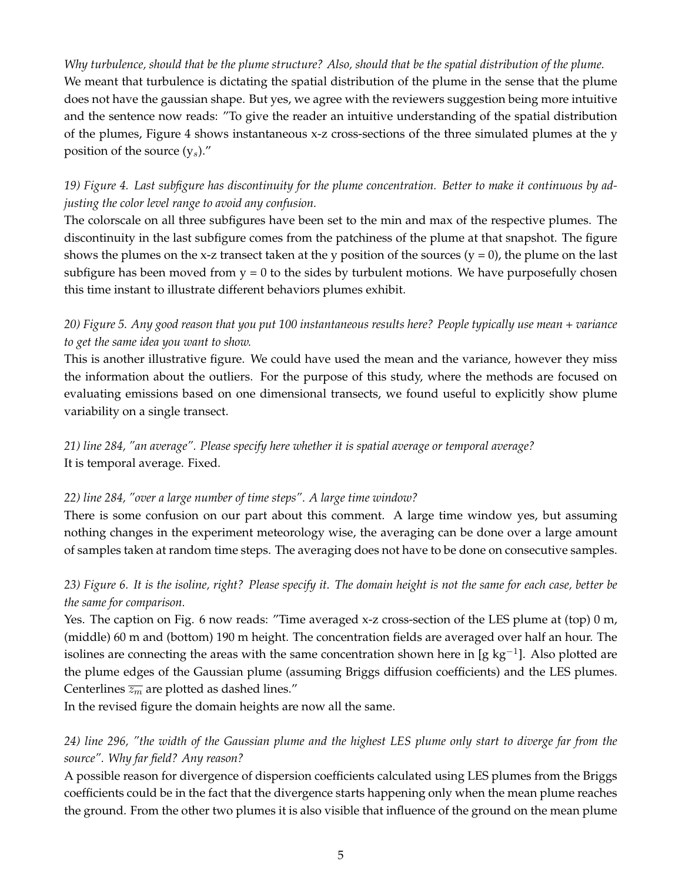*Why turbulence, should that be the plume structure? Also, should that be the spatial distribution of the plume.* We meant that turbulence is dictating the spatial distribution of the plume in the sense that the plume does not have the gaussian shape. But yes, we agree with the reviewers suggestion being more intuitive and the sentence now reads: "To give the reader an intuitive understanding of the spatial distribution of the plumes, Figure 4 shows instantaneous x-z cross-sections of the three simulated plumes at the y position of the source  $(y_s)$ ."

# *19) Figure 4. Last subfigure has discontinuity for the plume concentration. Better to make it continuous by adjusting the color level range to avoid any confusion.*

The colorscale on all three subfigures have been set to the min and max of the respective plumes. The discontinuity in the last subfigure comes from the patchiness of the plume at that snapshot. The figure shows the plumes on the x-z transect taken at the y position of the sources  $(y = 0)$ , the plume on the last subfigure has been moved from  $y = 0$  to the sides by turbulent motions. We have purposefully chosen this time instant to illustrate different behaviors plumes exhibit.

### *20) Figure 5. Any good reason that you put 100 instantaneous results here? People typically use mean + variance to get the same idea you want to show.*

This is another illustrative figure. We could have used the mean and the variance, however they miss the information about the outliers. For the purpose of this study, where the methods are focused on evaluating emissions based on one dimensional transects, we found useful to explicitly show plume variability on a single transect.

*21) line 284, "an average". Please specify here whether it is spatial average or temporal average?* It is temporal average. Fixed.

#### *22) line 284, "over a large number of time steps". A large time window?*

There is some confusion on our part about this comment. A large time window yes, but assuming nothing changes in the experiment meteorology wise, the averaging can be done over a large amount of samples taken at random time steps. The averaging does not have to be done on consecutive samples.

# *23) Figure 6. It is the isoline, right? Please specify it. The domain height is not the same for each case, better be the same for comparison.*

Yes. The caption on Fig. 6 now reads: "Time averaged x-z cross-section of the LES plume at (top) 0 m, (middle) 60 m and (bottom) 190 m height. The concentration fields are averaged over half an hour. The isolines are connecting the areas with the same concentration shown here in [g kg<sup>-1</sup>]. Also plotted are the plume edges of the Gaussian plume (assuming Briggs diffusion coefficients) and the LES plumes. Centerlines  $\overline{z_m}$  are plotted as dashed lines."

In the revised figure the domain heights are now all the same.

# *24) line 296, "the width of the Gaussian plume and the highest LES plume only start to diverge far from the source". Why far field? Any reason?*

A possible reason for divergence of dispersion coefficients calculated using LES plumes from the Briggs coefficients could be in the fact that the divergence starts happening only when the mean plume reaches the ground. From the other two plumes it is also visible that influence of the ground on the mean plume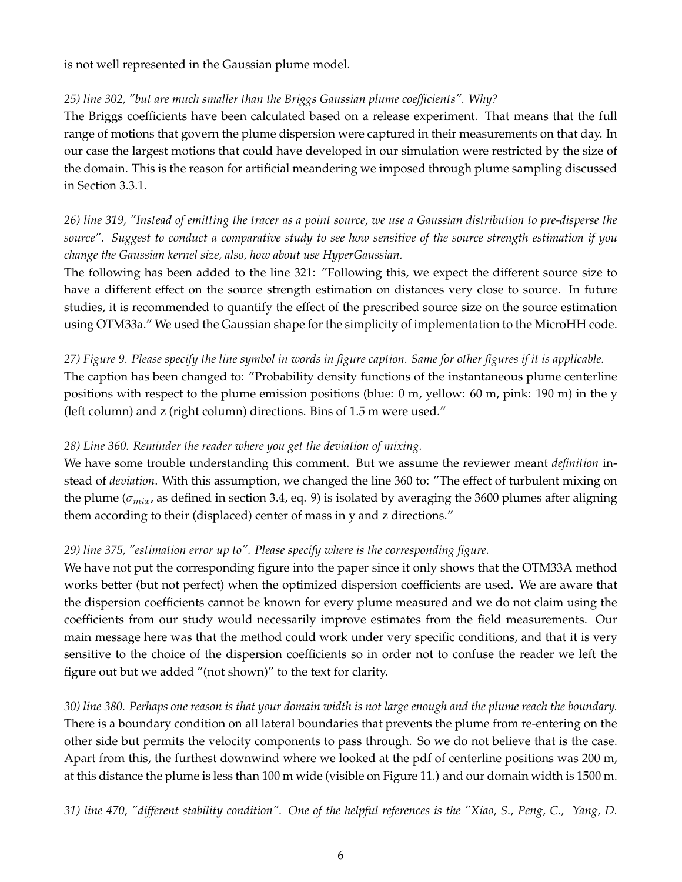is not well represented in the Gaussian plume model.

#### *25) line 302, "but are much smaller than the Briggs Gaussian plume coefficients". Why?*

The Briggs coefficients have been calculated based on a release experiment. That means that the full range of motions that govern the plume dispersion were captured in their measurements on that day. In our case the largest motions that could have developed in our simulation were restricted by the size of the domain. This is the reason for artificial meandering we imposed through plume sampling discussed in Section 3.3.1.

# *26) line 319, "Instead of emitting the tracer as a point source, we use a Gaussian distribution to pre-disperse the source". Suggest to conduct a comparative study to see how sensitive of the source strength estimation if you change the Gaussian kernel size, also, how about use HyperGaussian.*

The following has been added to the line 321: "Following this, we expect the different source size to have a different effect on the source strength estimation on distances very close to source. In future studies, it is recommended to quantify the effect of the prescribed source size on the source estimation using OTM33a." We used the Gaussian shape for the simplicity of implementation to the MicroHH code.

*27) Figure 9. Please specify the line symbol in words in figure caption. Same for other figures if it is applicable.* The caption has been changed to: "Probability density functions of the instantaneous plume centerline positions with respect to the plume emission positions (blue: 0 m, yellow: 60 m, pink: 190 m) in the y (left column) and z (right column) directions. Bins of 1.5 m were used."

### *28) Line 360. Reminder the reader where you get the deviation of mixing.*

We have some trouble understanding this comment. But we assume the reviewer meant *definition* instead of *deviation*. With this assumption, we changed the line 360 to: "The effect of turbulent mixing on the plume ( $\sigma_{mix}$ , as defined in section 3.4, eq. 9) is isolated by averaging the 3600 plumes after aligning them according to their (displaced) center of mass in y and z directions."

### *29) line 375, "estimation error up to". Please specify where is the corresponding figure.*

We have not put the corresponding figure into the paper since it only shows that the OTM33A method works better (but not perfect) when the optimized dispersion coefficients are used. We are aware that the dispersion coefficients cannot be known for every plume measured and we do not claim using the coefficients from our study would necessarily improve estimates from the field measurements. Our main message here was that the method could work under very specific conditions, and that it is very sensitive to the choice of the dispersion coefficients so in order not to confuse the reader we left the figure out but we added "(not shown)" to the text for clarity.

*30) line 380. Perhaps one reason is that your domain width is not large enough and the plume reach the boundary.* There is a boundary condition on all lateral boundaries that prevents the plume from re-entering on the other side but permits the velocity components to pass through. So we do not believe that is the case. Apart from this, the furthest downwind where we looked at the pdf of centerline positions was 200 m, at this distance the plume is less than 100 m wide (visible on Figure 11.) and our domain width is 1500 m.

*31) line 470, "different stability condition". One of the helpful references is the "Xiao, S., Peng, C., Yang, D.*